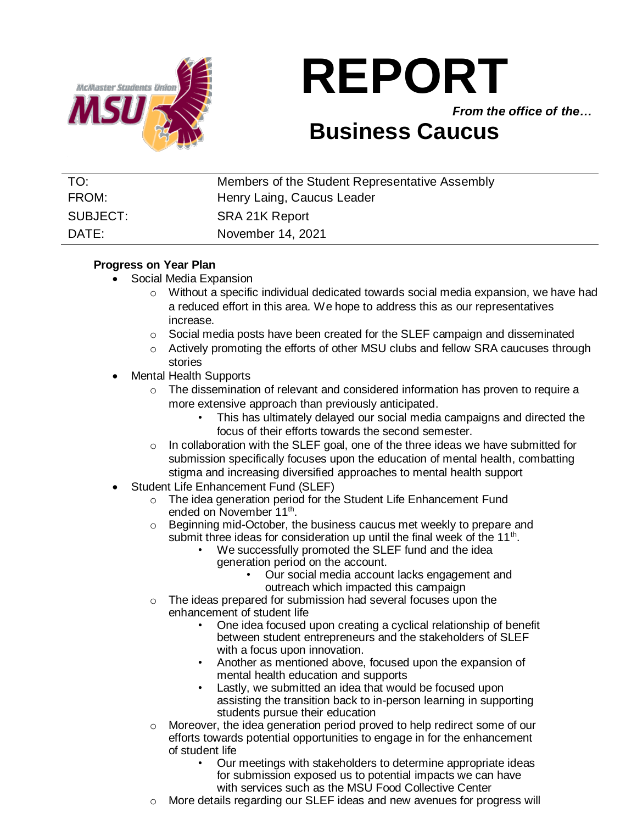

**REPORT**

*From the office of the…*

# **Business Caucus**

| TO:      | Members of the Student Representative Assembly |
|----------|------------------------------------------------|
| FROM:    | Henry Laing, Caucus Leader                     |
| SUBJECT: | SRA 21K Report                                 |
| DATE:    | November 14, 2021                              |

# **Progress on Year Plan**

- Social Media Expansion
	- $\circ$  Without a specific individual dedicated towards social media expansion, we have had a reduced effort in this area. We hope to address this as our representatives increase.
	- $\circ$  Social media posts have been created for the SLEF campaign and disseminated
	- $\circ$  Actively promoting the efforts of other MSU clubs and fellow SRA caucuses through stories
- Mental Health Supports
	- $\circ$  The dissemination of relevant and considered information has proven to require a more extensive approach than previously anticipated.
		- This has ultimately delayed our social media campaigns and directed the focus of their efforts towards the second semester.
	- $\circ$  In collaboration with the SLEF goal, one of the three ideas we have submitted for submission specifically focuses upon the education of mental health, combatting stigma and increasing diversified approaches to mental health support
- Student Life Enhancement Fund (SLEF)
	- $\circ$  The idea generation period for the Student Life Enhancement Fund ended on November 11<sup>th</sup>.
	- o Beginning mid-October, the business caucus met weekly to prepare and submit three ideas for consideration up until the final week of the 11<sup>th</sup>.
		- We successfully promoted the SLEF fund and the idea generation period on the account.
			- Our social media account lacks engagement and outreach which impacted this campaign
	- o The ideas prepared for submission had several focuses upon the enhancement of student life
		- One idea focused upon creating a cyclical relationship of benefit between student entrepreneurs and the stakeholders of SLEF with a focus upon innovation.
		- Another as mentioned above, focused upon the expansion of mental health education and supports
		- Lastly, we submitted an idea that would be focused upon assisting the transition back to in-person learning in supporting students pursue their education
	- o Moreover, the idea generation period proved to help redirect some of our efforts towards potential opportunities to engage in for the enhancement of student life
		- Our meetings with stakeholders to determine appropriate ideas for submission exposed us to potential impacts we can have with services such as the MSU Food Collective Center
	- o More details regarding our SLEF ideas and new avenues for progress will